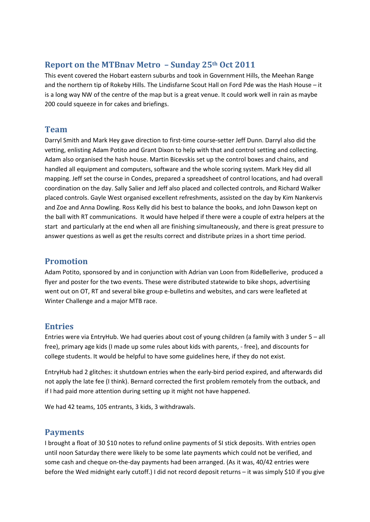## **Report on the MTBnav Metro – Sunday 25th Oct 2011**

This event covered the Hobart eastern suburbs and took in Government Hills, the Meehan Range and the northern tip of Rokeby Hills. The Lindisfarne Scout Hall on Ford Pde was the Hash House – it is a long way NW of the centre of the map but is a great venue. It could work well in rain as maybe 200 could squeeze in for cakes and briefings.

### **Team**

Darryl Smith and Mark Hey gave direction to first-time course-setter Jeff Dunn. Darryl also did the vetting, enlisting Adam Potito and Grant Dixon to help with that and control setting and collecting. Adam also organised the hash house. Martin Bicevskis set up the control boxes and chains, and handled all equipment and computers, software and the whole scoring system. Mark Hey did all mapping. Jeff set the course in Condes, prepared a spreadsheet of control locations, and had overall coordination on the day. Sally Salier and Jeff also placed and collected controls, and Richard Walker placed controls. Gayle West organised excellent refreshments, assisted on the day by Kim Nankervis and Zoe and Anna Dowling. Ross Kelly did his best to balance the books, and John Dawson kept on the ball with RT communications. It would have helped if there were a couple of extra helpers at the start and particularly at the end when all are finishing simultaneously, and there is great pressure to answer questions as well as get the results correct and distribute prizes in a short time period.

## **Promotion**

Adam Potito, sponsored by and in conjunction with Adrian van Loon from RideBellerive, produced a flyer and poster for the two events. These were distributed statewide to bike shops, advertising went out on OT, RT and several bike group e-bulletins and websites, and cars were leafleted at Winter Challenge and a major MTB race.

# **Entries**

Entries were via EntryHub. We had queries about cost of young children (a family with 3 under 5 – all free), primary age kids (I made up some rules about kids with parents, - free), and discounts for college students. It would be helpful to have some guidelines here, if they do not exist.

EntryHub had 2 glitches: it shutdown entries when the early-bird period expired, and afterwards did not apply the late fee (I think). Bernard corrected the first problem remotely from the outback, and if I had paid more attention during setting up it might not have happened.

We had 42 teams, 105 entrants, 3 kids, 3 withdrawals.

### **Payments**

I brought a float of 30 \$10 notes to refund online payments of SI stick deposits. With entries open until noon Saturday there were likely to be some late payments which could not be verified, and some cash and cheque on-the-day payments had been arranged. (As it was, 40/42 entries were before the Wed midnight early cutoff.) I did not record deposit returns – it was simply \$10 if you give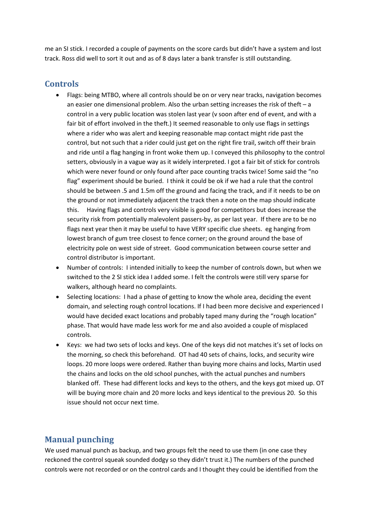me an SI stick. I recorded a couple of payments on the score cards but didn't have a system and lost track. Ross did well to sort it out and as of 8 days later a bank transfer is still outstanding.

# **Controls**

- Flags: being MTBO, where all controls should be on or very near tracks, navigation becomes an easier one dimensional problem. Also the urban setting increases the risk of theft – a control in a very public location was stolen last year (v soon after end of event, and with a fair bit of effort involved in the theft.) It seemed reasonable to only use flags in settings where a rider who was alert and keeping reasonable map contact might ride past the control, but not such that a rider could just get on the right fire trail, switch off their brain and ride until a flag hanging in front woke them up. I conveyed this philosophy to the control setters, obviously in a vague way as it widely interpreted. I got a fair bit of stick for controls which were never found or only found after pace counting tracks twice! Some said the "no flag" experiment should be buried. I think it could be ok if we had a rule that the control should be between .5 and 1.5m off the ground and facing the track, and if it needs to be on the ground or not immediately adjacent the track then a note on the map should indicate this. Having flags and controls very visible is good for competitors but does increase the security risk from potentially malevolent passers-by, as per last year. If there are to be no flags next year then it may be useful to have VERY specific clue sheets. eg hanging from lowest branch of gum tree closest to fence corner; on the ground around the base of electricity pole on west side of street. Good communication between course setter and control distributor is important.
- Number of controls: I intended initially to keep the number of controls down, but when we switched to the 2 SI stick idea I added some. I felt the controls were still very sparse for walkers, although heard no complaints.
- Selecting locations: I had a phase of getting to know the whole area, deciding the event domain, and selecting rough control locations. If I had been more decisive and experienced I would have decided exact locations and probably taped many during the "rough location" phase. That would have made less work for me and also avoided a couple of misplaced controls.
- Keys: we had two sets of locks and keys. One of the keys did not matches it's set of locks on the morning, so check this beforehand. OT had 40 sets of chains, locks, and security wire loops. 20 more loops were ordered. Rather than buying more chains and locks, Martin used the chains and locks on the old school punches, with the actual punches and numbers blanked off. These had different locks and keys to the others, and the keys got mixed up. OT will be buying more chain and 20 more locks and keys identical to the previous 20. So this issue should not occur next time.

# **Manual punching**

We used manual punch as backup, and two groups felt the need to use them (in one case they reckoned the control squeak sounded dodgy so they didn't trust it.) The numbers of the punched controls were not recorded or on the control cards and I thought they could be identified from the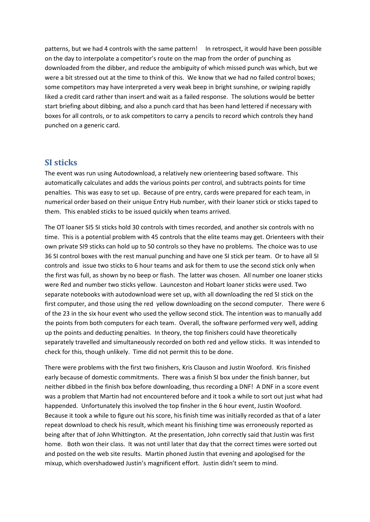patterns, but we had 4 controls with the same pattern! In retrospect, it would have been possible on the day to interpolate a competitor's route on the map from the order of punching as downloaded from the dibber, and reduce the ambiguity of which missed punch was which, but we were a bit stressed out at the time to think of this. We know that we had no failed control boxes; some competitors may have interpreted a very weak beep in bright sunshine, or swiping rapidly liked a credit card rather than insert and wait as a failed response. The solutions would be better start briefing about dibbing, and also a punch card that has been hand lettered if necessary with boxes for all controls, or to ask competitors to carry a pencils to record which controls they hand punched on a generic card.

#### **SI sticks**

The event was run using Autodownload, a relatively new orienteering based software. This automatically calculates and adds the various points per control, and subtracts points for time penalties. This was easy to set up. Because of pre entry, cards were prepared for each team, in numerical order based on their unique Entry Hub number, with their loaner stick or sticks taped to them. This enabled sticks to be issued quickly when teams arrived.

The OT loaner SI5 SI sticks hold 30 controls with times recorded, and another six controls with no time. This is a potential problem with 45 controls that the elite teams may get. Orienteers with their own private SI9 sticks can hold up to 50 controls so they have no problems. The choice was to use 36 SI control boxes with the rest manual punching and have one SI stick per team. Or to have all SI controls and issue two sticks to 6 hour teams and ask for them to use the second stick only when the first was full, as shown by no beep or flash. The latter was chosen. All number one loaner sticks were Red and number two sticks yellow. Launceston and Hobart loaner sticks were used. Two separate notebooks with autodownload were set up, with all downloading the red SI stick on the first computer, and those using the red yellow downloading on the second computer. There were 6 of the 23 in the six hour event who used the yellow second stick. The intention was to manually add the points from both computers for each team. Overall, the software performed very well, adding up the points and deducting penalties. In theory, the top finishers could have theoretically separately travelled and simultaneously recorded on both red and yellow sticks. It was intended to check for this, though unlikely. Time did not permit this to be done.

There were problems with the first two finishers, Kris Clauson and Justin Wooford. Kris finished early because of domestic commitments. There was a finish SI box under the finish banner, but neither dibbed in the finish box before downloading, thus recording a DNF! A DNF in a score event was a problem that Martin had not encountered before and it took a while to sort out just what had happended. Unfortunately this involved the top finsher in the 6 hour event, Justin Wooford. Because it took a while to figure out his score, his finish time was initially recorded as that of a later repeat download to check his result, which meant his finishing time was erroneously reported as being after that of John Whittington. At the presentation, John correctly said that Justin was first home. Both won their class. It was not until later that day that the correct times were sorted out and posted on the web site results. Martin phoned Justin that evening and apologised for the mixup, which overshadowed Justin's magnificent effort. Justin didn't seem to mind.